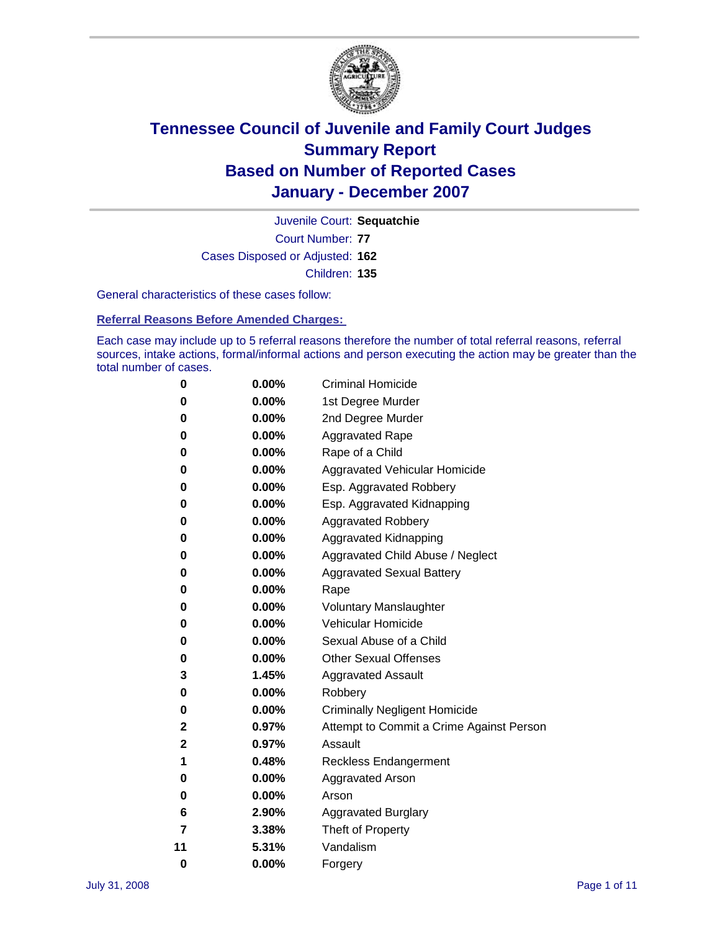

Court Number: **77** Juvenile Court: **Sequatchie** Cases Disposed or Adjusted: **162** Children: **135**

General characteristics of these cases follow:

**Referral Reasons Before Amended Charges:** 

Each case may include up to 5 referral reasons therefore the number of total referral reasons, referral sources, intake actions, formal/informal actions and person executing the action may be greater than the total number of cases.

| 0            | 0.00%    | <b>Criminal Homicide</b>                 |
|--------------|----------|------------------------------------------|
| 0            | 0.00%    | 1st Degree Murder                        |
| 0            | $0.00\%$ | 2nd Degree Murder                        |
| 0            | 0.00%    | <b>Aggravated Rape</b>                   |
| 0            | 0.00%    | Rape of a Child                          |
| 0            | 0.00%    | Aggravated Vehicular Homicide            |
| 0            | 0.00%    | Esp. Aggravated Robbery                  |
| 0            | $0.00\%$ | Esp. Aggravated Kidnapping               |
| 0            | 0.00%    | <b>Aggravated Robbery</b>                |
| 0            | 0.00%    | Aggravated Kidnapping                    |
| 0            | $0.00\%$ | Aggravated Child Abuse / Neglect         |
| 0            | 0.00%    | <b>Aggravated Sexual Battery</b>         |
| 0            | 0.00%    | Rape                                     |
| 0            | 0.00%    | <b>Voluntary Manslaughter</b>            |
| 0            | 0.00%    | Vehicular Homicide                       |
| 0            | 0.00%    | Sexual Abuse of a Child                  |
| 0            | 0.00%    | <b>Other Sexual Offenses</b>             |
| 3            | 1.45%    | <b>Aggravated Assault</b>                |
| 0            | 0.00%    | Robbery                                  |
| 0            | 0.00%    | <b>Criminally Negligent Homicide</b>     |
| 2            | 0.97%    | Attempt to Commit a Crime Against Person |
| $\mathbf{2}$ | 0.97%    | Assault                                  |
| 1            | 0.48%    | <b>Reckless Endangerment</b>             |
| 0            | 0.00%    | <b>Aggravated Arson</b>                  |
| 0            | 0.00%    | Arson                                    |
| 6            | 2.90%    | <b>Aggravated Burglary</b>               |
| 7            | 3.38%    | Theft of Property                        |
| 11           | 5.31%    | Vandalism                                |
| 0            | 0.00%    | Forgery                                  |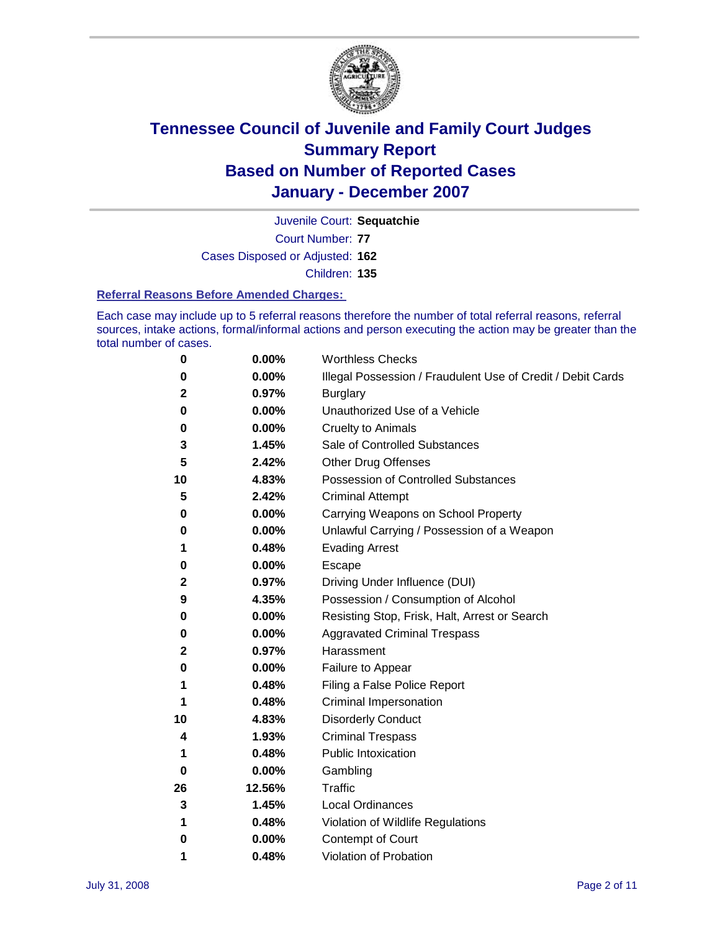

Court Number: **77** Juvenile Court: **Sequatchie** Cases Disposed or Adjusted: **162** Children: **135**

#### **Referral Reasons Before Amended Charges:**

Each case may include up to 5 referral reasons therefore the number of total referral reasons, referral sources, intake actions, formal/informal actions and person executing the action may be greater than the total number of cases.

| 0  | 0.00%  | <b>Worthless Checks</b>                                     |
|----|--------|-------------------------------------------------------------|
| 0  | 0.00%  | Illegal Possession / Fraudulent Use of Credit / Debit Cards |
| 2  | 0.97%  | <b>Burglary</b>                                             |
| 0  | 0.00%  | Unauthorized Use of a Vehicle                               |
| 0  | 0.00%  | <b>Cruelty to Animals</b>                                   |
| 3  | 1.45%  | Sale of Controlled Substances                               |
| 5  | 2.42%  | <b>Other Drug Offenses</b>                                  |
| 10 | 4.83%  | <b>Possession of Controlled Substances</b>                  |
| 5  | 2.42%  | <b>Criminal Attempt</b>                                     |
| 0  | 0.00%  | Carrying Weapons on School Property                         |
| 0  | 0.00%  | Unlawful Carrying / Possession of a Weapon                  |
| 1  | 0.48%  | <b>Evading Arrest</b>                                       |
| 0  | 0.00%  | Escape                                                      |
| 2  | 0.97%  | Driving Under Influence (DUI)                               |
| 9  | 4.35%  | Possession / Consumption of Alcohol                         |
| 0  | 0.00%  | Resisting Stop, Frisk, Halt, Arrest or Search               |
| 0  | 0.00%  | <b>Aggravated Criminal Trespass</b>                         |
| 2  | 0.97%  | Harassment                                                  |
| 0  | 0.00%  | Failure to Appear                                           |
| 1  | 0.48%  | Filing a False Police Report                                |
| 1  | 0.48%  | Criminal Impersonation                                      |
| 10 | 4.83%  | <b>Disorderly Conduct</b>                                   |
| 4  | 1.93%  | <b>Criminal Trespass</b>                                    |
| 1  | 0.48%  | <b>Public Intoxication</b>                                  |
| 0  | 0.00%  | Gambling                                                    |
| 26 | 12.56% | <b>Traffic</b>                                              |
| 3  | 1.45%  | Local Ordinances                                            |
| 1  | 0.48%  | Violation of Wildlife Regulations                           |
| 0  | 0.00%  | <b>Contempt of Court</b>                                    |
| 1  | 0.48%  | Violation of Probation                                      |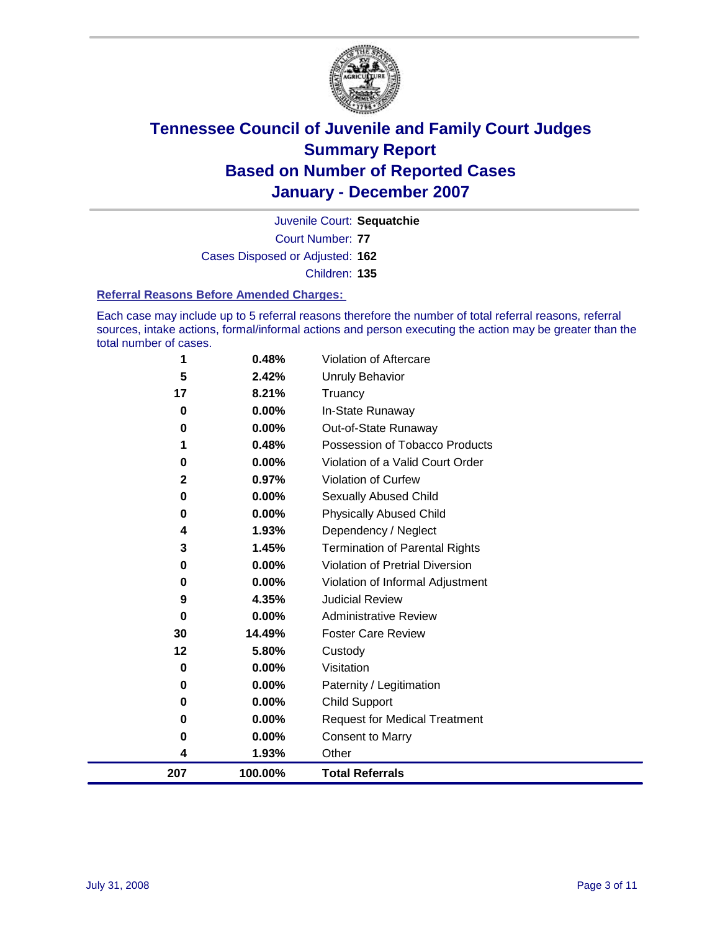

Court Number: **77** Juvenile Court: **Sequatchie** Cases Disposed or Adjusted: **162** Children: **135**

#### **Referral Reasons Before Amended Charges:**

Each case may include up to 5 referral reasons therefore the number of total referral reasons, referral sources, intake actions, formal/informal actions and person executing the action may be greater than the total number of cases.

| 207            | 100.00%        | <b>Total Referrals</b>                 |
|----------------|----------------|----------------------------------------|
| 4              | 1.93%          | Other                                  |
| 0              | 0.00%          | <b>Consent to Marry</b>                |
| 0              | 0.00%          | <b>Request for Medical Treatment</b>   |
| 0              | 0.00%          | <b>Child Support</b>                   |
| $\bf{0}$       | 0.00%          | Paternity / Legitimation               |
| 0              | 0.00%          | Visitation                             |
| $12 \,$        | 5.80%          | Custody                                |
| 30             | 14.49%         | <b>Foster Care Review</b>              |
| 0              | $0.00\%$       | <b>Administrative Review</b>           |
| 9              | 4.35%          | <b>Judicial Review</b>                 |
| 0              | 0.00%          | Violation of Informal Adjustment       |
| 0              | 0.00%          | <b>Violation of Pretrial Diversion</b> |
| 3              | 1.45%          | <b>Termination of Parental Rights</b>  |
| 4              | 1.93%          | Dependency / Neglect                   |
| 0              | 0.00%          | <b>Physically Abused Child</b>         |
| 0              | 0.00%          | <b>Sexually Abused Child</b>           |
| $\mathbf{2}$   | 0.97%          | Violation of Curfew                    |
| 0              | 0.00%          | Violation of a Valid Court Order       |
|                | 0.48%          | Possession of Tobacco Products         |
| 0              | 0.00%          | Out-of-State Runaway                   |
| 17<br>$\bf{0}$ | 8.21%<br>0.00% | Truancy<br>In-State Runaway            |
| 5              | 2.42%          | <b>Unruly Behavior</b>                 |
| 1              | 0.48%          | Violation of Aftercare                 |
|                |                |                                        |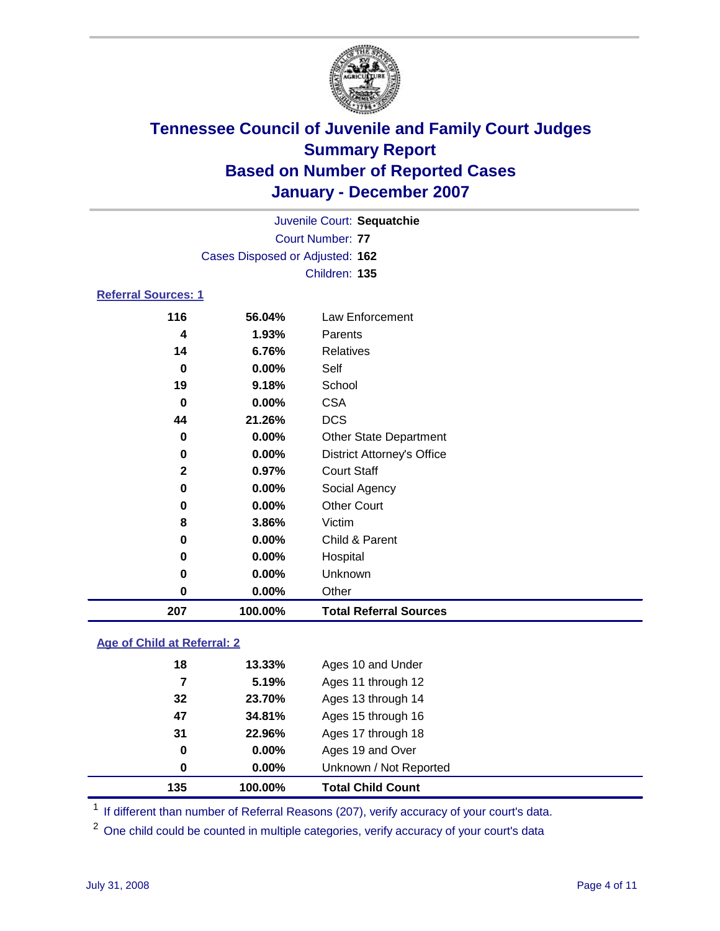

| Juvenile Court: Sequatchie      |  |
|---------------------------------|--|
| Court Number: 77                |  |
| Cases Disposed or Adjusted: 162 |  |
| Children: 135                   |  |
| <b>Referral Sources: 1</b>      |  |

| 207          | 100.00% | <b>Total Referral Sources</b>     |
|--------------|---------|-----------------------------------|
| 0            | 0.00%   | Other                             |
| 0            | 0.00%   | Unknown                           |
| 0            | 0.00%   | Hospital                          |
| 0            | 0.00%   | Child & Parent                    |
| 8            | 3.86%   | Victim                            |
| 0            | 0.00%   | <b>Other Court</b>                |
| 0            | 0.00%   | Social Agency                     |
| $\mathbf{2}$ | 0.97%   | <b>Court Staff</b>                |
| 0            | 0.00%   | <b>District Attorney's Office</b> |
| 0            | 0.00%   | <b>Other State Department</b>     |
| 44           | 21.26%  | <b>DCS</b>                        |
| 0            | 0.00%   | <b>CSA</b>                        |
| 19           | 9.18%   | School                            |
| 0            | 0.00%   | Self                              |
| 14           | 6.76%   | Relatives                         |
| 4            | 1.93%   | Parents                           |
| 116          | 56.04%  | Law Enforcement                   |

#### **Age of Child at Referral: 2**

| 135<br>100.00% | <b>Total Child Count</b> |
|----------------|--------------------------|
| 0.00%<br>0     | Unknown / Not Reported   |
| 0.00%<br>0     | Ages 19 and Over         |
| 31<br>22.96%   | Ages 17 through 18       |
| 47<br>34.81%   | Ages 15 through 16       |
| 32<br>23.70%   | Ages 13 through 14       |
| 5.19%<br>7     | Ages 11 through 12       |
| 18<br>13.33%   | Ages 10 and Under        |
|                |                          |

<sup>1</sup> If different than number of Referral Reasons (207), verify accuracy of your court's data.

One child could be counted in multiple categories, verify accuracy of your court's data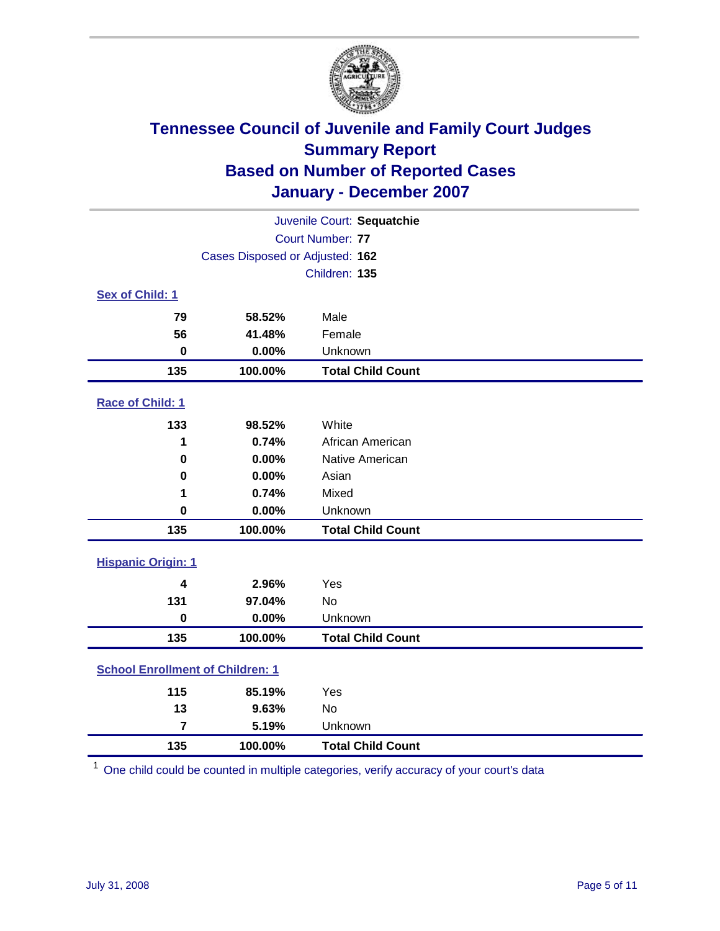

| Juvenile Court: Sequatchie              |         |                          |  |  |
|-----------------------------------------|---------|--------------------------|--|--|
|                                         |         | Court Number: 77         |  |  |
| Cases Disposed or Adjusted: 162         |         |                          |  |  |
|                                         |         | Children: 135            |  |  |
| Sex of Child: 1                         |         |                          |  |  |
| 79                                      | 58.52%  | Male                     |  |  |
| 56                                      | 41.48%  | Female                   |  |  |
| $\bf{0}$                                | 0.00%   | Unknown                  |  |  |
| 135                                     | 100.00% | <b>Total Child Count</b> |  |  |
| Race of Child: 1                        |         |                          |  |  |
| 133                                     | 98.52%  | White                    |  |  |
| 1                                       | 0.74%   | African American         |  |  |
| $\bf{0}$                                | 0.00%   | Native American          |  |  |
| 0                                       | 0.00%   | Asian                    |  |  |
| 1                                       | 0.74%   | Mixed                    |  |  |
| $\mathbf 0$                             | 0.00%   | Unknown                  |  |  |
| 135                                     | 100.00% | <b>Total Child Count</b> |  |  |
| <b>Hispanic Origin: 1</b>               |         |                          |  |  |
| $\overline{\mathbf{4}}$                 | 2.96%   | Yes                      |  |  |
| 131                                     | 97.04%  | <b>No</b>                |  |  |
| $\mathbf 0$                             | 0.00%   | Unknown                  |  |  |
| 135                                     | 100.00% | <b>Total Child Count</b> |  |  |
| <b>School Enrollment of Children: 1</b> |         |                          |  |  |
| 115                                     | 85.19%  | Yes                      |  |  |
| 13                                      | 9.63%   | No                       |  |  |
| $\overline{7}$                          | 5.19%   | Unknown                  |  |  |
| 135                                     | 100.00% | <b>Total Child Count</b> |  |  |

One child could be counted in multiple categories, verify accuracy of your court's data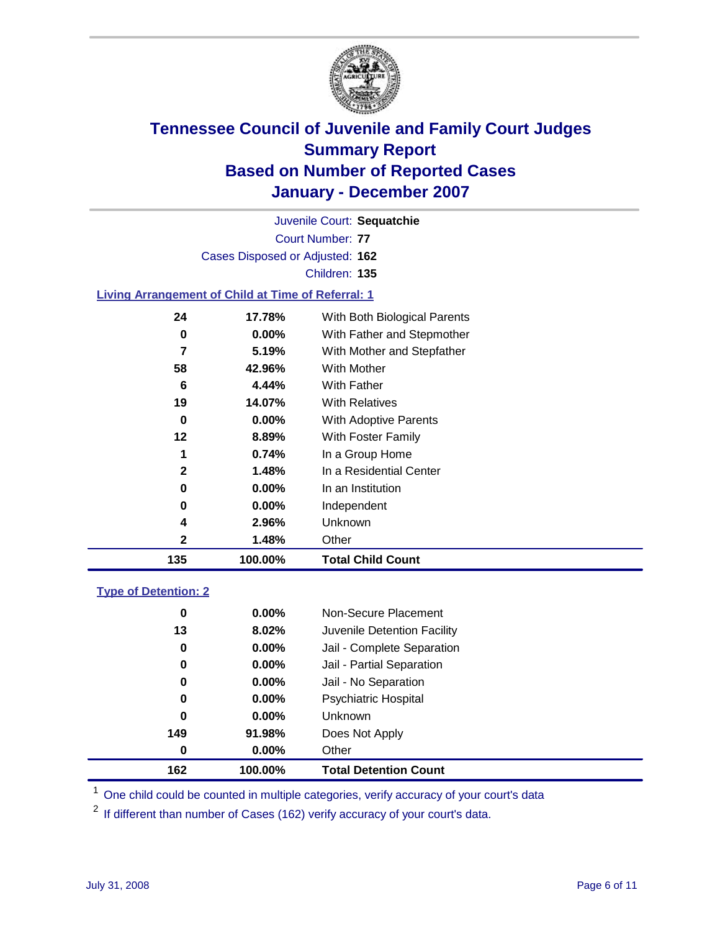

Court Number: **77** Juvenile Court: **Sequatchie** Cases Disposed or Adjusted: **162** Children: **135 Living Arrangement of Child at Time of Referral: 1 17.78%** With Both Biological Parents **0.00%** With Father and Stepmother **5.19%** With Mother and Stepfather

| 135          | 100.00%    | <b>Total Child Count</b>                 |
|--------------|------------|------------------------------------------|
| 2            | 1.48%      | Other                                    |
| 4            | 2.96%      | Unknown                                  |
| 0            | $0.00\%$   | Independent                              |
| 0            | $0.00\%$   | In an Institution                        |
| $\mathbf{2}$ | 1.48%      | In a Residential Center                  |
| 1            | 0.74%      | In a Group Home                          |
| 12           | 8.89%      | With Foster Family                       |
| 0            | $0.00\%$   | <b>With Adoptive Parents</b>             |
| 19           | 14.07%     | <b>With Relatives</b>                    |
| 6            | 4.44%      | With Father                              |
| 58           | 42.96%     | With Mother                              |
|              | J. I J / U | <i>vvilli iviolitei alla olepialitei</i> |

### **Type of Detention: 2**

| 162 | 100.00%  | <b>Total Detention Count</b> |  |
|-----|----------|------------------------------|--|
| 0   | $0.00\%$ | Other                        |  |
| 149 | 91.98%   | Does Not Apply               |  |
| 0   | $0.00\%$ | <b>Unknown</b>               |  |
| 0   | $0.00\%$ | <b>Psychiatric Hospital</b>  |  |
| 0   | $0.00\%$ | Jail - No Separation         |  |
| 0   | $0.00\%$ | Jail - Partial Separation    |  |
| 0   | $0.00\%$ | Jail - Complete Separation   |  |
| 13  | 8.02%    | Juvenile Detention Facility  |  |
| 0   | $0.00\%$ | Non-Secure Placement         |  |
|     |          |                              |  |

<sup>1</sup> One child could be counted in multiple categories, verify accuracy of your court's data

<sup>2</sup> If different than number of Cases (162) verify accuracy of your court's data.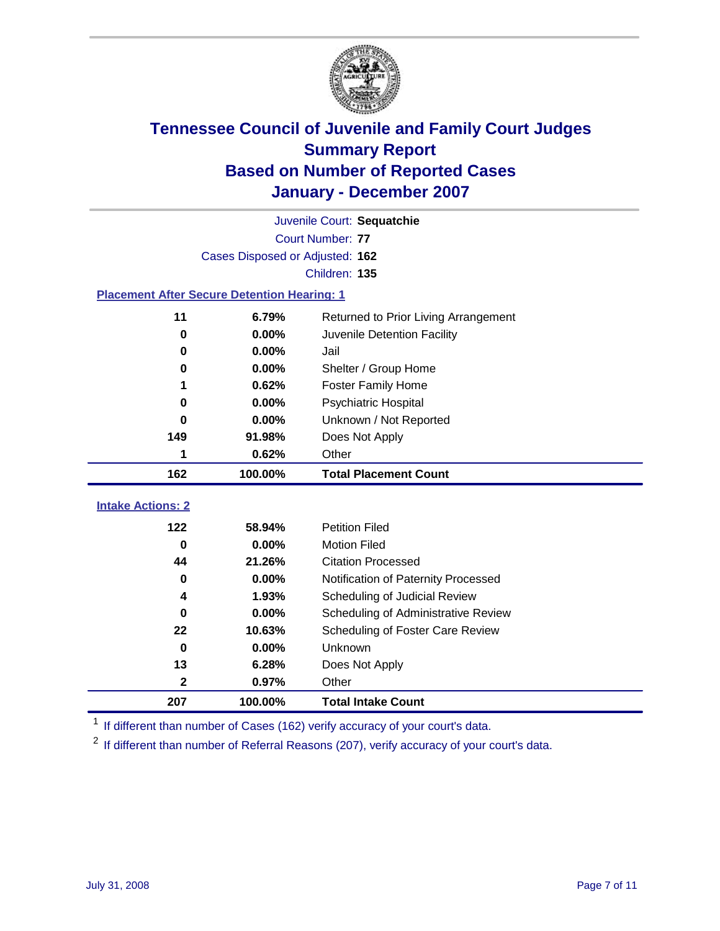

|                                                    | Juvenile Court: Sequatchie |                                      |  |  |  |
|----------------------------------------------------|----------------------------|--------------------------------------|--|--|--|
|                                                    | Court Number: 77           |                                      |  |  |  |
| Cases Disposed or Adjusted: 162                    |                            |                                      |  |  |  |
|                                                    |                            | Children: 135                        |  |  |  |
| <b>Placement After Secure Detention Hearing: 1</b> |                            |                                      |  |  |  |
| 11                                                 | 6.79%                      | Returned to Prior Living Arrangement |  |  |  |
| $\bf{0}$                                           | 0.00%                      | Juvenile Detention Facility          |  |  |  |
| 0                                                  | 0.00%                      | Jail                                 |  |  |  |
| 0                                                  | 0.00%                      | Shelter / Group Home                 |  |  |  |
| 1                                                  | 0.62%                      | <b>Foster Family Home</b>            |  |  |  |
| 0                                                  | 0.00%                      | Psychiatric Hospital                 |  |  |  |
| 0                                                  | 0.00%                      | Unknown / Not Reported               |  |  |  |
| 149                                                | 91.98%                     | Does Not Apply                       |  |  |  |
| 1                                                  | 0.62%                      | Other                                |  |  |  |
|                                                    |                            |                                      |  |  |  |
| 162                                                | 100.00%                    | <b>Total Placement Count</b>         |  |  |  |
| <b>Intake Actions: 2</b>                           |                            |                                      |  |  |  |
| 122                                                | 58.94%                     | <b>Petition Filed</b>                |  |  |  |
| $\bf{0}$                                           | 0.00%                      | <b>Motion Filed</b>                  |  |  |  |
| 44                                                 | 21.26%                     | <b>Citation Processed</b>            |  |  |  |
| 0                                                  | 0.00%                      | Notification of Paternity Processed  |  |  |  |
| 4                                                  | 1.93%                      | Scheduling of Judicial Review        |  |  |  |
| $\bf{0}$                                           | 0.00%                      | Scheduling of Administrative Review  |  |  |  |
| 22                                                 | 10.63%                     | Scheduling of Foster Care Review     |  |  |  |
| $\bf{0}$                                           | 0.00%                      | Unknown                              |  |  |  |
| 13                                                 | 6.28%                      | Does Not Apply                       |  |  |  |
| $\mathbf{2}$                                       | 0.97%                      | Other                                |  |  |  |

<sup>1</sup> If different than number of Cases (162) verify accuracy of your court's data.

<sup>2</sup> If different than number of Referral Reasons (207), verify accuracy of your court's data.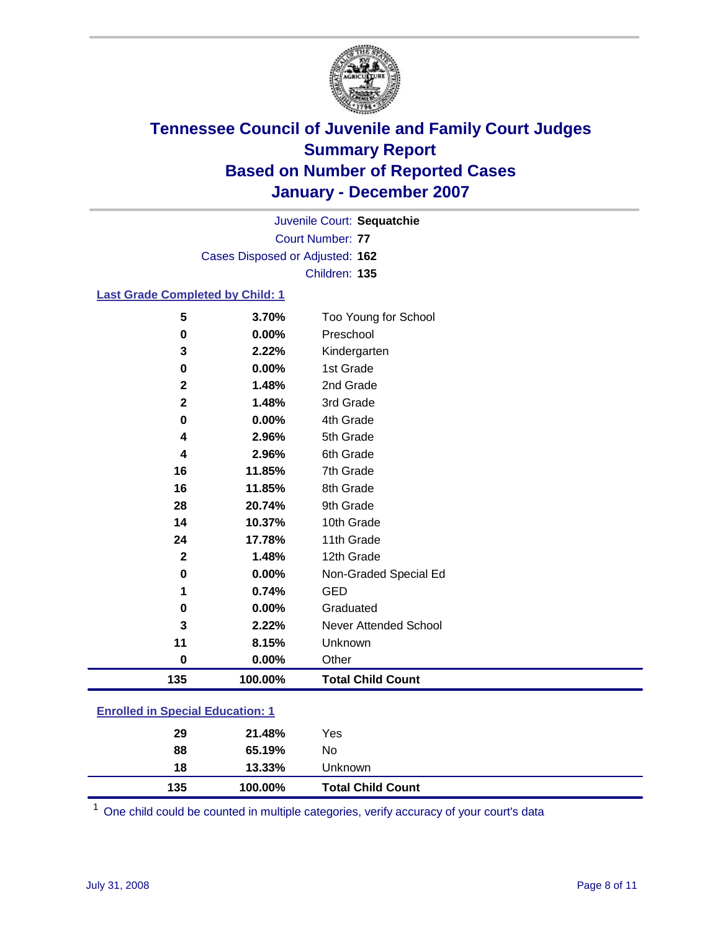

Court Number: **77** Juvenile Court: **Sequatchie** Cases Disposed or Adjusted: **162** Children: **135**

#### **Last Grade Completed by Child: 1**

| 135          | 100.00% | <b>Total Child Count</b> |
|--------------|---------|--------------------------|
| 0            | 0.00%   | Other                    |
| 11           | 8.15%   | Unknown                  |
| 3            | 2.22%   | Never Attended School    |
| 0            | 0.00%   | Graduated                |
| 1            | 0.74%   | <b>GED</b>               |
| $\bf{0}$     | 0.00%   | Non-Graded Special Ed    |
| $\mathbf{2}$ | 1.48%   | 12th Grade               |
| 24           | 17.78%  | 11th Grade               |
| 14           | 10.37%  | 10th Grade               |
| 28           | 20.74%  | 9th Grade                |
| 16           | 11.85%  | 8th Grade                |
| 16           | 11.85%  | 7th Grade                |
| 4            | 2.96%   | 6th Grade                |
| 4            | 2.96%   | 5th Grade                |
| $\bf{0}$     | 0.00%   | 4th Grade                |
| $\mathbf{2}$ | 1.48%   | 3rd Grade                |
| $\mathbf{2}$ | 1.48%   | 2nd Grade                |
| 0            | 0.00%   | 1st Grade                |
| 3            | 2.22%   | Kindergarten             |
| 0            | 0.00%   | Preschool                |
| 5            | 3.70%   | Too Young for School     |

### **Enrolled in Special Education: 1**

| 135 | 100.00% | <b>Total Child Count</b> |  |
|-----|---------|--------------------------|--|
| 18  | 13.33%  | <b>Unknown</b>           |  |
| 88  | 65.19%  | No                       |  |
| 29  | 21.48%  | Yes                      |  |
|     |         |                          |  |

<sup>1</sup> One child could be counted in multiple categories, verify accuracy of your court's data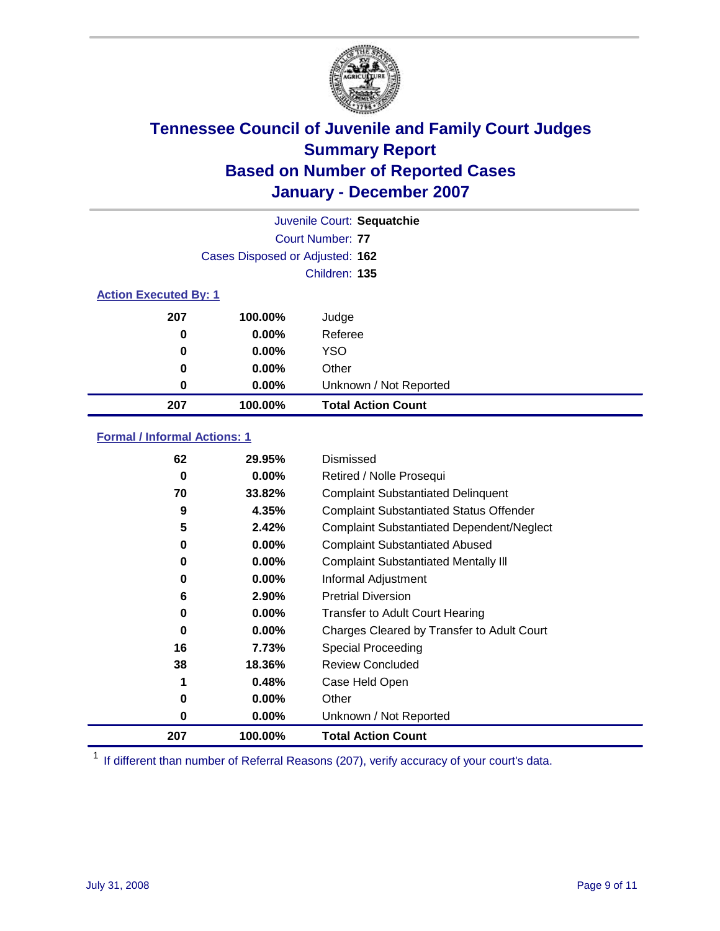

|                              |                                 | Juvenile Court: Sequatchie |
|------------------------------|---------------------------------|----------------------------|
|                              |                                 | Court Number: 77           |
|                              | Cases Disposed or Adjusted: 162 |                            |
|                              |                                 | Children: 135              |
| <b>Action Executed By: 1</b> |                                 |                            |
| 207                          | 100.00%                         | Judge                      |
| 0                            | $0.00\%$                        | Referee                    |
| 0                            | $0.00\%$                        | <b>YSO</b>                 |
| 0                            | $0.00\%$                        | Other                      |
| 0                            | $0.00\%$                        | Unknown / Not Reported     |
| 207                          | 100.00%                         | <b>Total Action Count</b>  |

### **Formal / Informal Actions: 1**

| 62  | 29.95%   | Dismissed                                        |
|-----|----------|--------------------------------------------------|
| 0   | $0.00\%$ | Retired / Nolle Prosequi                         |
| 70  | 33.82%   | <b>Complaint Substantiated Delinquent</b>        |
| 9   | 4.35%    | <b>Complaint Substantiated Status Offender</b>   |
| 5   | 2.42%    | <b>Complaint Substantiated Dependent/Neglect</b> |
| 0   | $0.00\%$ | <b>Complaint Substantiated Abused</b>            |
| 0   | $0.00\%$ | <b>Complaint Substantiated Mentally III</b>      |
| 0   | $0.00\%$ | Informal Adjustment                              |
| 6   | 2.90%    | <b>Pretrial Diversion</b>                        |
| 0   | $0.00\%$ | <b>Transfer to Adult Court Hearing</b>           |
| 0   | $0.00\%$ | Charges Cleared by Transfer to Adult Court       |
| 16  | 7.73%    | Special Proceeding                               |
| 38  | 18.36%   | <b>Review Concluded</b>                          |
| 1   | 0.48%    | Case Held Open                                   |
| 0   | $0.00\%$ | Other                                            |
| 0   | $0.00\%$ | Unknown / Not Reported                           |
| 207 | 100.00%  | <b>Total Action Count</b>                        |

<sup>1</sup> If different than number of Referral Reasons (207), verify accuracy of your court's data.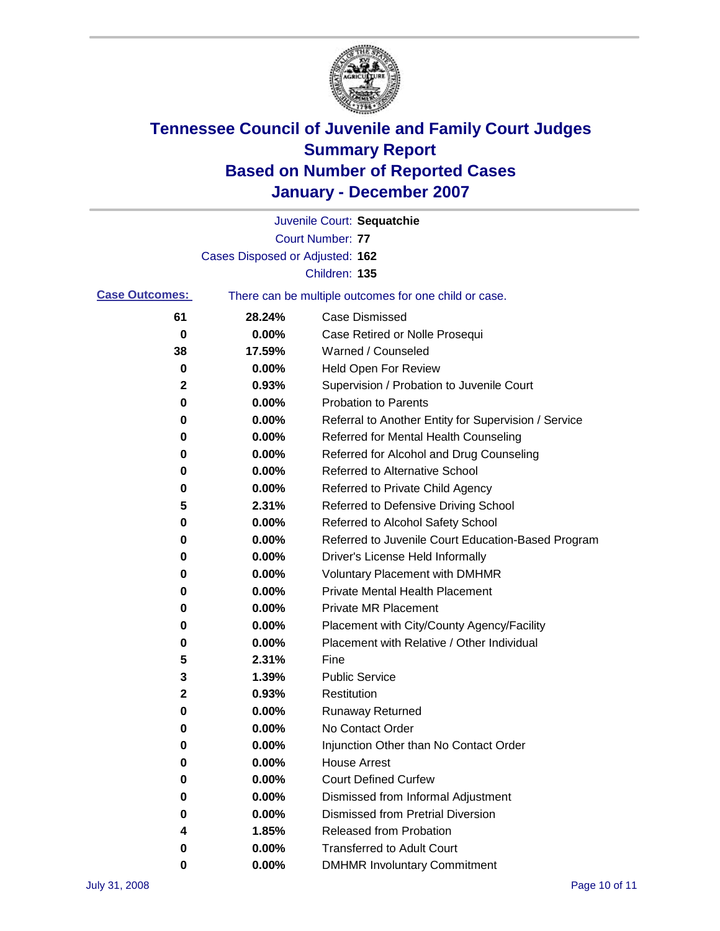

|                       |                                 | Juvenile Court: Sequatchie                            |
|-----------------------|---------------------------------|-------------------------------------------------------|
|                       |                                 | Court Number: 77                                      |
|                       | Cases Disposed or Adjusted: 162 |                                                       |
|                       |                                 | Children: 135                                         |
| <b>Case Outcomes:</b> |                                 | There can be multiple outcomes for one child or case. |
| 61                    | 28.24%                          | <b>Case Dismissed</b>                                 |
| 0                     | 0.00%                           | Case Retired or Nolle Prosequi                        |
| 38                    | 17.59%                          | Warned / Counseled                                    |
| 0                     | 0.00%                           | <b>Held Open For Review</b>                           |
| 2                     | 0.93%                           | Supervision / Probation to Juvenile Court             |
| 0                     | 0.00%                           | <b>Probation to Parents</b>                           |
| 0                     | 0.00%                           | Referral to Another Entity for Supervision / Service  |
| 0                     | 0.00%                           | Referred for Mental Health Counseling                 |
| 0                     | 0.00%                           | Referred for Alcohol and Drug Counseling              |
| 0                     | 0.00%                           | Referred to Alternative School                        |
| 0                     | 0.00%                           | Referred to Private Child Agency                      |
| 5                     | 2.31%                           | Referred to Defensive Driving School                  |
| 0                     | 0.00%                           | Referred to Alcohol Safety School                     |
| 0                     | 0.00%                           | Referred to Juvenile Court Education-Based Program    |
| 0                     | 0.00%                           | Driver's License Held Informally                      |
| 0                     | 0.00%                           | <b>Voluntary Placement with DMHMR</b>                 |
| 0                     | 0.00%                           | <b>Private Mental Health Placement</b>                |
| 0                     | 0.00%                           | <b>Private MR Placement</b>                           |
| 0                     | 0.00%                           | Placement with City/County Agency/Facility            |
| 0                     | 0.00%                           | Placement with Relative / Other Individual            |
| 5                     | 2.31%                           | Fine                                                  |
| 3                     | 1.39%                           | <b>Public Service</b>                                 |
| 2                     | 0.93%                           | Restitution                                           |
| 0                     | 0.00%                           | <b>Runaway Returned</b>                               |
| 0                     | 0.00%                           | No Contact Order                                      |
| 0                     | 0.00%                           | Injunction Other than No Contact Order                |
| 0                     | 0.00%                           | <b>House Arrest</b>                                   |
| 0                     | 0.00%                           | <b>Court Defined Curfew</b>                           |
| 0                     | 0.00%                           | Dismissed from Informal Adjustment                    |
| 0                     | 0.00%                           | <b>Dismissed from Pretrial Diversion</b>              |
| 4                     | 1.85%                           | <b>Released from Probation</b>                        |
| 0                     | 0.00%                           | <b>Transferred to Adult Court</b>                     |
| 0                     | 0.00%                           | <b>DMHMR Involuntary Commitment</b>                   |